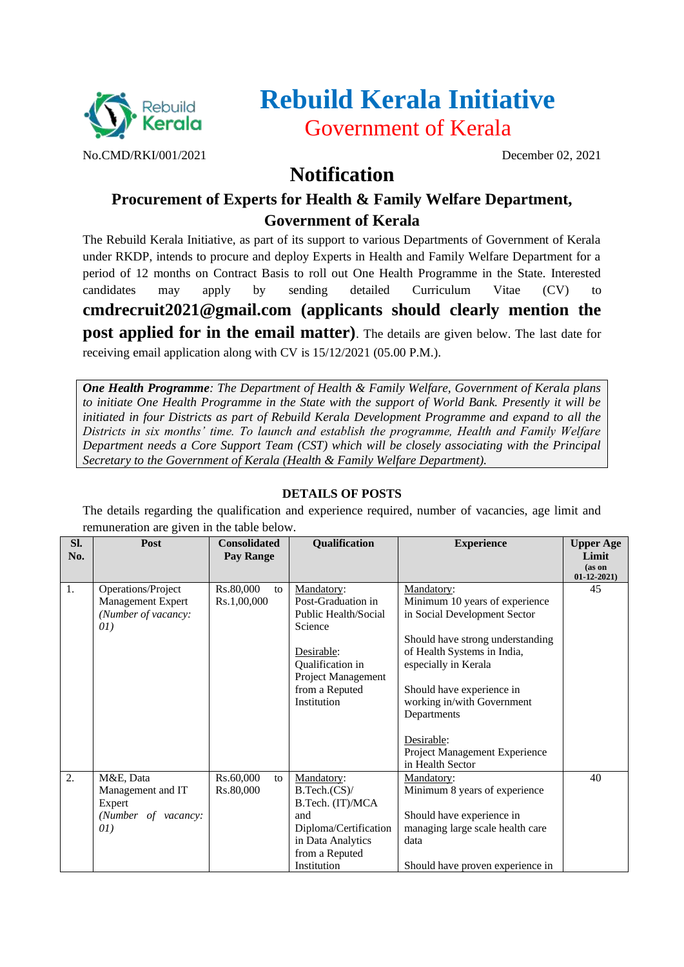

# **Rebuild Kerala Initiative** Government of Kerala

No.CMD/RKI/001/2021 December 02, 2021

## **Notification**

### **Procurement of Experts for Health & Family Welfare Department, Government of Kerala**

The Rebuild Kerala Initiative, as part of its support to various Departments of Government of Kerala under RKDP, intends to procure and deploy Experts in Health and Family Welfare Department for a period of 12 months on Contract Basis to roll out One Health Programme in the State. Interested candidates may apply by sending detailed Curriculum Vitae (CV) to **cmdrecruit2021@gmail.com (applicants should clearly mention the post applied for in the email matter)**. The details are given below. The last date for receiving email application along with CV is 15/12/2021 (05.00 P.M.).

*One Health Programme: The Department of Health & Family Welfare, Government of Kerala plans to initiate One Health Programme in the State with the support of World Bank. Presently it will be initiated in four Districts as part of Rebuild Kerala Development Programme and expand to all the Districts in six months' time. To launch and establish the programme, Health and Family Welfare Department needs a Core Support Team (CST) which will be closely associating with the Principal Secretary to the Government of Kerala (Health & Family Welfare Department).*

#### **DETAILS OF POSTS**

The details regarding the qualification and experience required, number of vacancies, age limit and remuneration are given in the table below.

| SI.<br>No. | Post                                                                   | <b>Consolidated</b><br>Pay Range | <b>Qualification</b>                                                                                                                                         | <b>Experience</b>                                                                                                                                                                                                                                               | <b>Upper Age</b><br>Limit  |
|------------|------------------------------------------------------------------------|----------------------------------|--------------------------------------------------------------------------------------------------------------------------------------------------------------|-----------------------------------------------------------------------------------------------------------------------------------------------------------------------------------------------------------------------------------------------------------------|----------------------------|
|            |                                                                        |                                  |                                                                                                                                                              |                                                                                                                                                                                                                                                                 | (as on<br>$01 - 12 - 2021$ |
| 1.         | Operations/Project<br>Management Expert<br>(Number of vacancy:<br>01)  | Rs.80,000<br>to<br>Rs.1,00,000   | Mandatory:<br>Post-Graduation in<br>Public Health/Social<br>Science<br>Desirable:<br>Qualification in<br>Project Management<br>from a Reputed<br>Institution | Mandatory:<br>Minimum 10 years of experience<br>in Social Development Sector<br>Should have strong understanding<br>of Health Systems in India,<br>especially in Kerala<br>Should have experience in<br>working in/with Government<br>Departments<br>Desirable: | 45                         |
|            |                                                                        |                                  |                                                                                                                                                              | Project Management Experience<br>in Health Sector                                                                                                                                                                                                               |                            |
| 2.         | M&E, Data<br>Management and IT<br>Expert<br>(Number of vacancy:<br>01) | Rs.60,000<br>to<br>Rs.80,000     | Mandatory:<br>B.Tech.(CS)<br>B.Tech. (IT)/MCA<br>and<br>Diploma/Certification<br>in Data Analytics<br>from a Reputed<br>Institution                          | Mandatory:<br>Minimum 8 years of experience<br>Should have experience in<br>managing large scale health care<br>data<br>Should have proven experience in                                                                                                        | 40                         |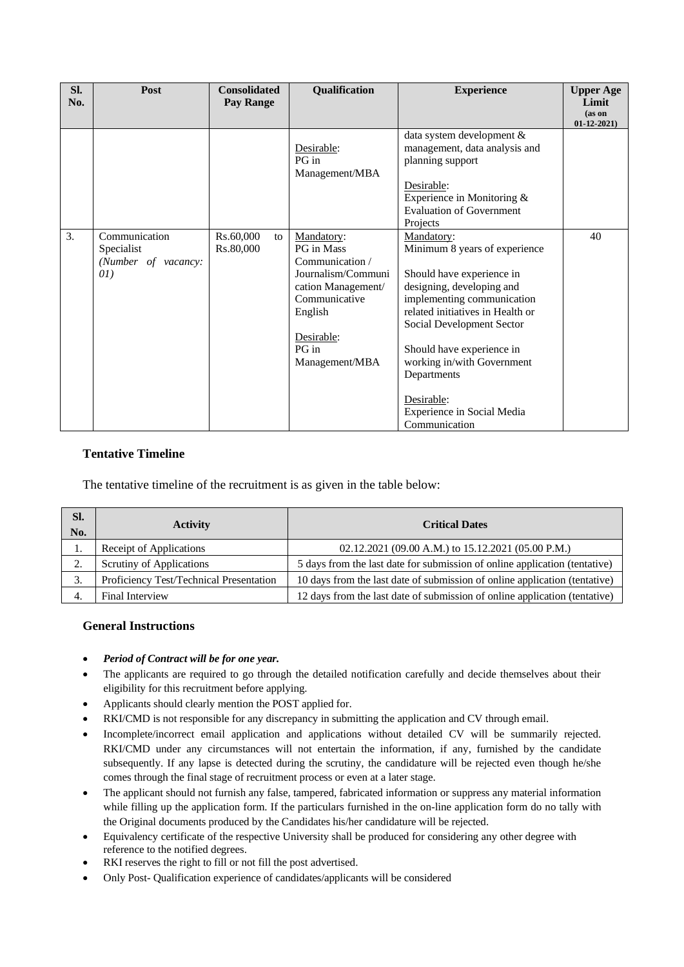| SI.<br>No. | Post                                                      | <b>Consolidated</b><br>Pay Range | Qualification                                                                                                                                                | <b>Experience</b>                                                                                                                                                                                                                                                                                                                           | <b>Upper Age</b><br>Limit<br>(as on<br>$01-12-2021$ |
|------------|-----------------------------------------------------------|----------------------------------|--------------------------------------------------------------------------------------------------------------------------------------------------------------|---------------------------------------------------------------------------------------------------------------------------------------------------------------------------------------------------------------------------------------------------------------------------------------------------------------------------------------------|-----------------------------------------------------|
|            |                                                           |                                  | Desirable:<br>PG in<br>Management/MBA                                                                                                                        | data system development &<br>management, data analysis and<br>planning support<br>Desirable:<br>Experience in Monitoring &<br><b>Evaluation of Government</b><br>Projects                                                                                                                                                                   |                                                     |
| 3.         | Communication<br>Specialist<br>(Number of vacancy:<br>01) | Rs.60,000<br>to<br>Rs.80,000     | Mandatory:<br>PG in Mass<br>Communication /<br>Journalism/Communi<br>cation Management/<br>Communicative<br>English<br>Desirable:<br>PG in<br>Management/MBA | Mandatory:<br>Minimum 8 years of experience<br>Should have experience in<br>designing, developing and<br>implementing communication<br>related initiatives in Health or<br>Social Development Sector<br>Should have experience in<br>working in/with Government<br>Departments<br>Desirable:<br>Experience in Social Media<br>Communication | 40                                                  |

#### **Tentative Timeline**

The tentative timeline of the recruitment is as given in the table below:

| Sl.<br>No.     | <b>Activity</b>                         | <b>Critical Dates</b>                                                      |  |  |
|----------------|-----------------------------------------|----------------------------------------------------------------------------|--|--|
| 1.             | Receipt of Applications                 | 02.12.2021 (09.00 A.M.) to 15.12.2021 (05.00 P.M.)                         |  |  |
| $\gamma$<br>z. | Scrutiny of Applications                | 5 days from the last date for submission of online application (tentative) |  |  |
|                | Proficiency Test/Technical Presentation | 10 days from the last date of submission of online application (tentative) |  |  |
| 4.             | Final Interview                         | 12 days from the last date of submission of online application (tentative) |  |  |

#### **General Instructions**

- *Period of Contract will be for one year.*
- The applicants are required to go through the detailed notification carefully and decide themselves about their eligibility for this recruitment before applying.
- Applicants should clearly mention the POST applied for.
- RKI/CMD is not responsible for any discrepancy in submitting the application and CV through email.
- Incomplete/incorrect email application and applications without detailed CV will be summarily rejected. RKI/CMD under any circumstances will not entertain the information, if any, furnished by the candidate subsequently. If any lapse is detected during the scrutiny, the candidature will be rejected even though he/she comes through the final stage of recruitment process or even at a later stage.
- The applicant should not furnish any false, tampered, fabricated information or suppress any material information while filling up the application form. If the particulars furnished in the on-line application form do no tally with the Original documents produced by the Candidates his/her candidature will be rejected.
- Equivalency certificate of the respective University shall be produced for considering any other degree with reference to the notified degrees.
- RKI reserves the right to fill or not fill the post advertised.
- Only Post- Qualification experience of candidates/applicants will be considered